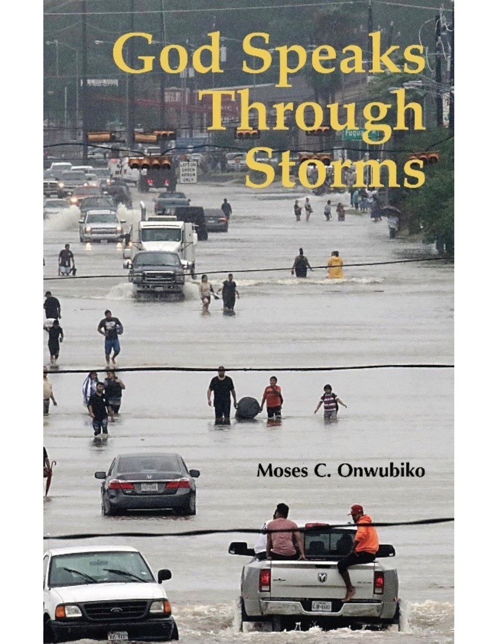# God Speaks S



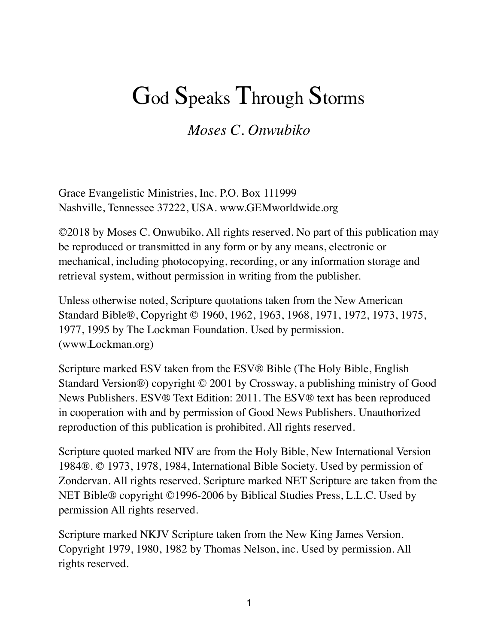# God Speaks Through Storms

*Moses C. Onwubiko* 

Grace Evangelistic Ministries, Inc. P.O. Box 111999 Nashville, Tennessee 37222, USA. www.GEMworldwide.org

©2018 by Moses C. Onwubiko. All rights reserved. No part of this publication may be reproduced or transmitted in any form or by any means, electronic or mechanical, including photocopying, recording, or any information storage and retrieval system, without permission in writing from the publisher.

Unless otherwise noted, Scripture quotations taken from the New American Standard Bible®, Copyright © 1960, 1962, 1963, 1968, 1971, 1972, 1973, 1975, 1977, 1995 by The Lockman Foundation. Used by permission. (www.Lockman.org)

Scripture marked ESV taken from the ESV® Bible (The Holy Bible, English Standard Version®) copyright © 2001 by Crossway, a publishing ministry of Good News Publishers. ESV® Text Edition: 2011. The ESV® text has been reproduced in cooperation with and by permission of Good News Publishers. Unauthorized reproduction of this publication is prohibited. All rights reserved.

Scripture quoted marked NIV are from the Holy Bible, New International Version 1984®. © 1973, 1978, 1984, International Bible Society. Used by permission of Zondervan. All rights reserved. Scripture marked NET Scripture are taken from the NET Bible® copyright ©1996-2006 by Biblical Studies Press, L.L.C. Used by permission All rights reserved.

Scripture marked NKJV Scripture taken from the New King James Version. Copyright 1979, 1980, 1982 by Thomas Nelson, inc. Used by permission. All rights reserved.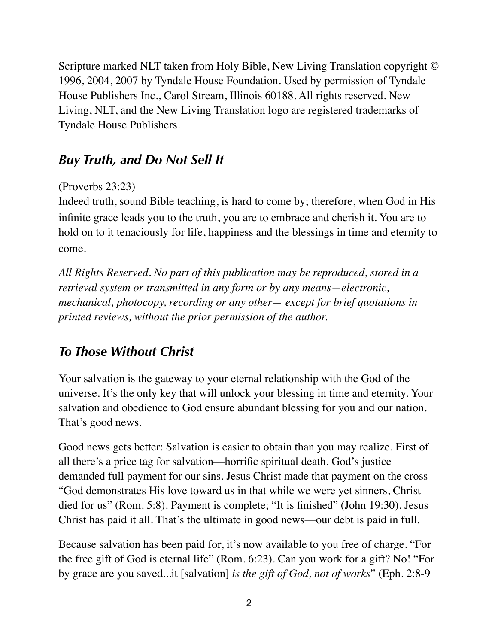Scripture marked NLT taken from Holy Bible, New Living Translation copyright © 1996, 2004, 2007 by Tyndale House Foundation. Used by permission of Tyndale House Publishers Inc., Carol Stream, Illinois 60188. All rights reserved. New Living, NLT, and the New Living Translation logo are registered trademarks of Tyndale House Publishers.

# *Buy Truth, and Do Not Sell It*

# (Proverbs 23:23)

Indeed truth, sound Bible teaching, is hard to come by; therefore, when God in His infinite grace leads you to the truth, you are to embrace and cherish it. You are to hold on to it tenaciously for life, happiness and the blessings in time and eternity to come.

*All Rights Reserved. No part of this publication may be reproduced, stored in a retrieval system or transmitted in any form or by any means—electronic, mechanical, photocopy, recording or any other— except for brief quotations in printed reviews, without the prior permission of the author.* 

# *To Those Without Christ*

Your salvation is the gateway to your eternal relationship with the God of the universe. It's the only key that will unlock your blessing in time and eternity. Your salvation and obedience to God ensure abundant blessing for you and our nation. That's good news.

Good news gets better: Salvation is easier to obtain than you may realize. First of all there's a price tag for salvation––horrific spiritual death. God's justice demanded full payment for our sins. Jesus Christ made that payment on the cross "God demonstrates His love toward us in that while we were yet sinners, Christ died for us" (Rom. 5:8). Payment is complete; "It is finished" (John 19:30). Jesus Christ has paid it all. That's the ultimate in good news––our debt is paid in full.

Because salvation has been paid for, it's now available to you free of charge. "For the free gift of God is eternal life" (Rom. 6:23). Can you work for a gift? No! "For by grace are you saved...it [salvation] *is the gift of God, not of works*" (Eph. 2:8-9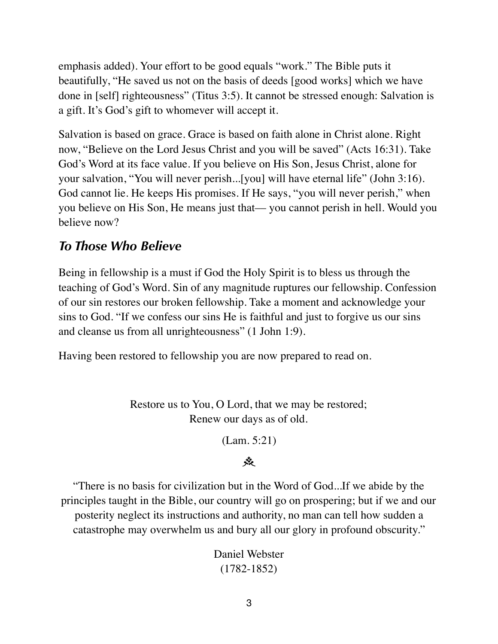emphasis added). Your effort to be good equals "work." The Bible puts it beautifully, "He saved us not on the basis of deeds [good works] which we have done in [self] righteousness" (Titus 3:5). It cannot be stressed enough: Salvation is a gift. It's God's gift to whomever will accept it.

Salvation is based on grace. Grace is based on faith alone in Christ alone. Right now, "Believe on the Lord Jesus Christ and you will be saved" (Acts 16:31). Take God's Word at its face value. If you believe on His Son, Jesus Christ, alone for your salvation, "You will never perish...[you] will have eternal life" (John 3:16). God cannot lie. He keeps His promises. If He says, "you will never perish," when you believe on His Son, He means just that—you cannot perish in hell. Would you believe now?

# *To Those Who Believe*

Being in fellowship is a must if God the Holy Spirit is to bless us through the teaching of God's Word. Sin of any magnitude ruptures our fellowship. Confession of our sin restores our broken fellowship. Take a moment and acknowledge your sins to God. "If we confess our sins He is faithful and just to forgive us our sins and cleanse us from all unrighteousness" (1 John 1:9).

Having been restored to fellowship you are now prepared to read on.

Restore us to You, O Lord, that we may be restored; Renew our days as of old.

(Lam. 5:21)

# $\ddot{\mathbf{x}}$

"There is no basis for civilization but in the Word of God...If we abide by the principles taught in the Bible, our country will go on prospering; but if we and our posterity neglect its instructions and authority, no man can tell how sudden a catastrophe may overwhelm us and bury all our glory in profound obscurity."

> Daniel Webster (1782-1852)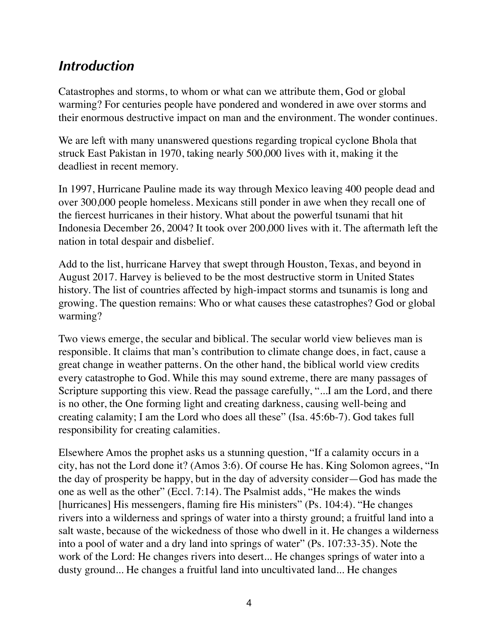# *Introduction*

Catastrophes and storms, to whom or what can we attribute them, God or global warming? For centuries people have pondered and wondered in awe over storms and their enormous destructive impact on man and the environment. The wonder continues.

We are left with many unanswered questions regarding tropical cyclone Bhola that struck East Pakistan in 1970, taking nearly 500,000 lives with it, making it the deadliest in recent memory.

In 1997, Hurricane Pauline made its way through Mexico leaving 400 people dead and over 300,000 people homeless. Mexicans still ponder in awe when they recall one of the fiercest hurricanes in their history. What about the powerful tsunami that hit Indonesia December 26, 2004? It took over 200,000 lives with it. The aftermath left the nation in total despair and disbelief.

Add to the list, hurricane Harvey that swept through Houston, Texas, and beyond in August 2017. Harvey is believed to be the most destructive storm in United States history. The list of countries affected by high-impact storms and tsunamis is long and growing. The question remains: Who or what causes these catastrophes? God or global warming?

Two views emerge, the secular and biblical. The secular world view believes man is responsible. It claims that man's contribution to climate change does, in fact, cause a great change in weather patterns. On the other hand, the biblical world view credits every catastrophe to God. While this may sound extreme, there are many passages of Scripture supporting this view. Read the passage carefully, "...I am the Lord, and there is no other, the One forming light and creating darkness, causing well-being and creating calamity; I am the Lord who does all these" (Isa. 45:6b-7). God takes full responsibility for creating calamities.

Elsewhere Amos the prophet asks us a stunning question, "If a calamity occurs in a city, has not the Lord done it? (Amos 3:6). Of course He has. King Solomon agrees, "In the day of prosperity be happy, but in the day of adversity consider—God has made the one as well as the other" (Eccl. 7:14). The Psalmist adds, "He makes the winds [hurricanes] His messengers, flaming fire His ministers" (Ps. 104:4). "He changes rivers into a wilderness and springs of water into a thirsty ground; a fruitful land into a salt waste, because of the wickedness of those who dwell in it. He changes a wilderness into a pool of water and a dry land into springs of water" (Ps. 107:33-35). Note the work of the Lord: He changes rivers into desert... He changes springs of water into a dusty ground... He changes a fruitful land into uncultivated land... He changes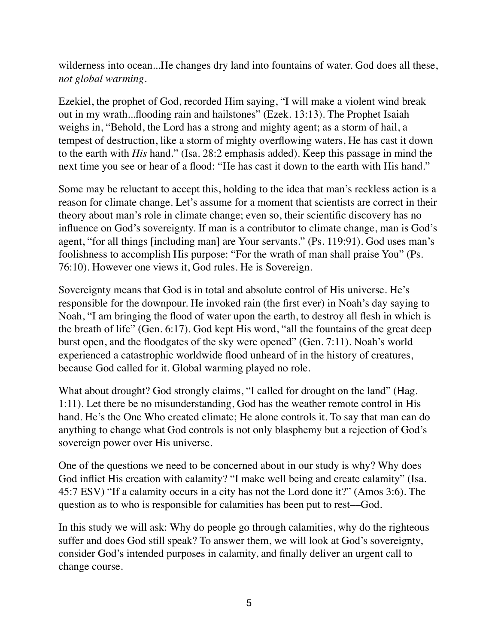wilderness into ocean...He changes dry land into fountains of water. God does all these, *not global warming.* 

Ezekiel, the prophet of God, recorded Him saying, "I will make a violent wind break out in my wrath...flooding rain and hailstones" (Ezek. 13:13). The Prophet Isaiah weighs in, "Behold, the Lord has a strong and mighty agent; as a storm of hail, a tempest of destruction, like a storm of mighty overflowing waters, He has cast it down to the earth with *His* hand." (Isa. 28:2 emphasis added). Keep this passage in mind the next time you see or hear of a flood: "He has cast it down to the earth with His hand."

Some may be reluctant to accept this, holding to the idea that man's reckless action is a reason for climate change. Let's assume for a moment that scientists are correct in their theory about man's role in climate change; even so, their scientific discovery has no influence on God's sovereignty. If man is a contributor to climate change, man is God's agent, "for all things [including man] are Your servants." (Ps. 119:91). God uses man's foolishness to accomplish His purpose: "For the wrath of man shall praise You" (Ps. 76:10). However one views it, God rules. He is Sovereign.

Sovereignty means that God is in total and absolute control of His universe. He's responsible for the downpour. He invoked rain (the first ever) in Noah's day saying to Noah, "I am bringing the flood of water upon the earth, to destroy all flesh in which is the breath of life" (Gen. 6:17). God kept His word, "all the fountains of the great deep burst open, and the floodgates of the sky were opened" (Gen. 7:11). Noah's world experienced a catastrophic worldwide flood unheard of in the history of creatures, because God called for it. Global warming played no role.

What about drought? God strongly claims, "I called for drought on the land" (Hag. 1:11). Let there be no misunderstanding, God has the weather remote control in His hand. He's the One Who created climate; He alone controls it. To say that man can do anything to change what God controls is not only blasphemy but a rejection of God's sovereign power over His universe.

One of the questions we need to be concerned about in our study is why? Why does God inflict His creation with calamity? "I make well being and create calamity" (Isa. 45:7 ESV) "If a calamity occurs in a city has not the Lord done it?" (Amos 3:6). The question as to who is responsible for calamities has been put to rest––God.

In this study we will ask: Why do people go through calamities, why do the righteous suffer and does God still speak? To answer them, we will look at God's sovereignty, consider God's intended purposes in calamity, and finally deliver an urgent call to change course.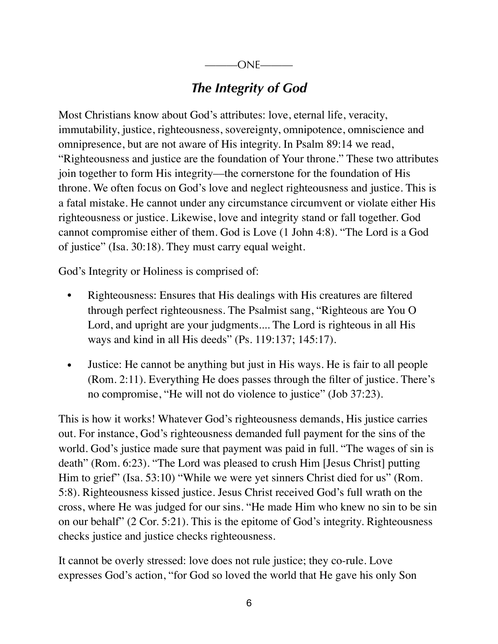# *The Integrity of God*

Most Christians know about God's attributes: love, eternal life, veracity, immutability, justice, righteousness, sovereignty, omnipotence, omniscience and omnipresence, but are not aware of His integrity. In Psalm 89:14 we read, "Righteousness and justice are the foundation of Your throne." These two attributes join together to form His integrity––the cornerstone for the foundation of His throne. We often focus on God's love and neglect righteousness and justice. This is a fatal mistake. He cannot under any circumstance circumvent or violate either His righteousness or justice. Likewise, love and integrity stand or fall together. God cannot compromise either of them. God is Love (1 John 4:8). "The Lord is a God of justice" (Isa. 30:18). They must carry equal weight.

God's Integrity or Holiness is comprised of:

- Righteousness: Ensures that His dealings with His creatures are filtered through perfect righteousness. The Psalmist sang, "Righteous are You O Lord, and upright are your judgments.... The Lord is righteous in all His ways and kind in all His deeds" (Ps. 119:137; 145:17).
- Justice: He cannot be anything but just in His ways. He is fair to all people (Rom. 2:11). Everything He does passes through the filter of justice. There's no compromise, "He will not do violence to justice" (Job 37:23).

This is how it works! Whatever God's righteousness demands, His justice carries out. For instance, God's righteousness demanded full payment for the sins of the world. God's justice made sure that payment was paid in full. "The wages of sin is death" (Rom. 6:23). "The Lord was pleased to crush Him [Jesus Christ] putting Him to grief" (Isa. 53:10) "While we were yet sinners Christ died for us" (Rom. 5:8). Righteousness kissed justice. Jesus Christ received God's full wrath on the cross, where He was judged for our sins. "He made Him who knew no sin to be sin on our behalf" (2 Cor. 5:21). This is the epitome of God's integrity. Righteousness checks justice and justice checks righteousness.

It cannot be overly stressed: love does not rule justice; they co-rule. Love expresses God's action, "for God so loved the world that He gave his only Son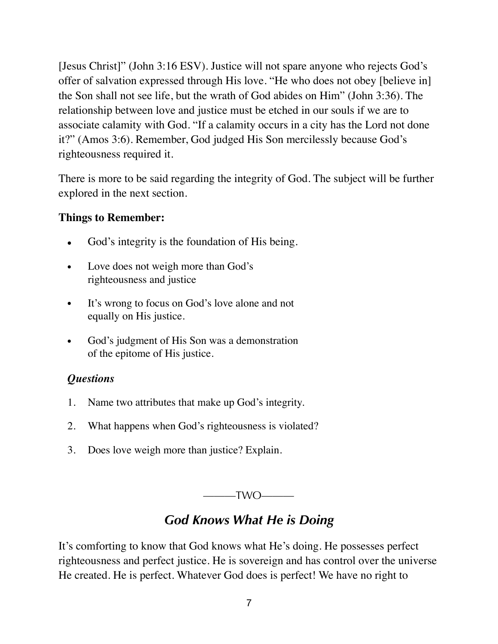[Jesus Christ]" (John 3:16 ESV). Justice will not spare anyone who rejects God's offer of salvation expressed through His love. "He who does not obey [believe in] the Son shall not see life, but the wrath of God abides on Him" (John 3:36). The relationship between love and justice must be etched in our souls if we are to associate calamity with God. "If a calamity occurs in a city has the Lord not done it?" (Amos 3:6). Remember, God judged His Son mercilessly because God's righteousness required it.

There is more to be said regarding the integrity of God. The subject will be further explored in the next section.

#### **Things to Remember:**

- God's integrity is the foundation of His being.
- Love does not weigh more than God's righteousness and justice
- It's wrong to focus on God's love alone and not equally on His justice.
- God's judgment of His Son was a demonstration of the epitome of His justice.

### *Questions*

- 1. Name two attributes that make up God's integrity.
- 2. What happens when God's righteousness is violated?
- 3. Does love weigh more than justice? Explain.

 $-TWO$ ———

# *God Knows What He is Doing*

It's comforting to know that God knows what He's doing. He possesses perfect righteousness and perfect justice. He is sovereign and has control over the universe He created. He is perfect. Whatever God does is perfect! We have no right to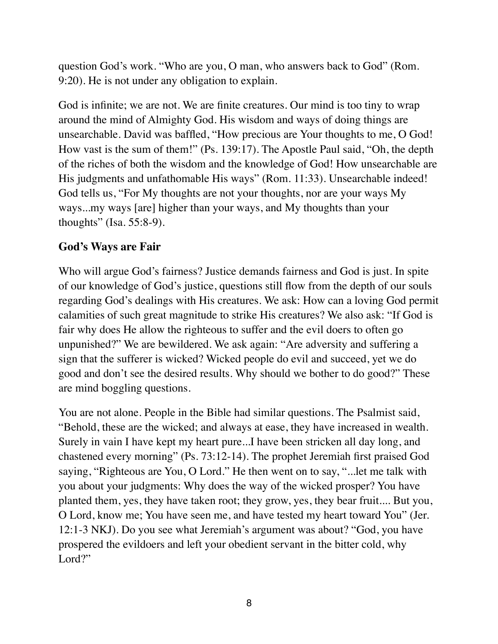question God's work. "Who are you, O man, who answers back to God" (Rom. 9:20). He is not under any obligation to explain.

God is infinite; we are not. We are finite creatures. Our mind is too tiny to wrap around the mind of Almighty God. His wisdom and ways of doing things are unsearchable. David was baffled, "How precious are Your thoughts to me, O God! How vast is the sum of them!" (Ps. 139:17). The Apostle Paul said, "Oh, the depth of the riches of both the wisdom and the knowledge of God! How unsearchable are His judgments and unfathomable His ways" (Rom. 11:33). Unsearchable indeed! God tells us, "For My thoughts are not your thoughts, nor are your ways My ways...my ways [are] higher than your ways, and My thoughts than your thoughts" (Isa. 55:8-9).

#### **God's Ways are Fair**

Who will argue God's fairness? Justice demands fairness and God is just. In spite of our knowledge of God's justice, questions still flow from the depth of our souls regarding God's dealings with His creatures. We ask: How can a loving God permit calamities of such great magnitude to strike His creatures? We also ask: "If God is fair why does He allow the righteous to suffer and the evil doers to often go unpunished?" We are bewildered. We ask again: "Are adversity and suffering a sign that the sufferer is wicked? Wicked people do evil and succeed, yet we do good and don't see the desired results. Why should we bother to do good?" These are mind boggling questions.

You are not alone. People in the Bible had similar questions. The Psalmist said, "Behold, these are the wicked; and always at ease, they have increased in wealth. Surely in vain I have kept my heart pure...I have been stricken all day long, and chastened every morning" (Ps. 73:12-14). The prophet Jeremiah first praised God saying, "Righteous are You, O Lord." He then went on to say, "...let me talk with you about your judgments: Why does the way of the wicked prosper? You have planted them, yes, they have taken root; they grow, yes, they bear fruit.... But you, O Lord, know me; You have seen me, and have tested my heart toward You" (Jer. 12:1-3 NKJ). Do you see what Jeremiah's argument was about? "God, you have prospered the evildoers and left your obedient servant in the bitter cold, why Lord?"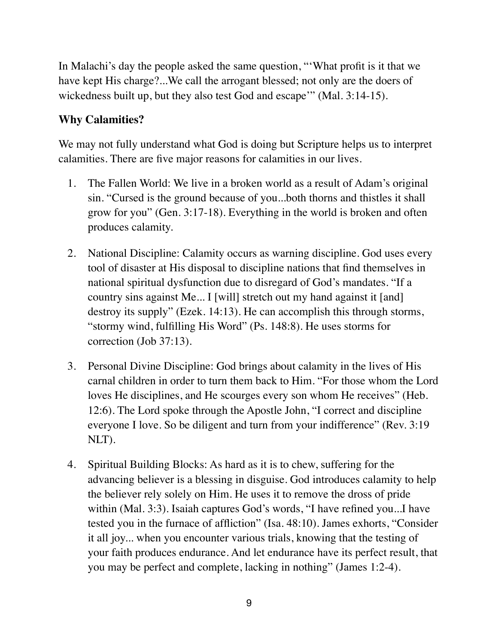In Malachi's day the people asked the same question, "'What profit is it that we have kept His charge?...We call the arrogant blessed; not only are the doers of wickedness built up, but they also test God and escape" (Mal. 3:14-15).

### **Why Calamities?**

We may not fully understand what God is doing but Scripture helps us to interpret calamities. There are five major reasons for calamities in our lives.

- 1. The Fallen World: We live in a broken world as a result of Adam's original sin. "Cursed is the ground because of you...both thorns and thistles it shall grow for you" (Gen. 3:17-18). Everything in the world is broken and often produces calamity.
- 2. National Discipline: Calamity occurs as warning discipline. God uses every tool of disaster at His disposal to discipline nations that find themselves in national spiritual dysfunction due to disregard of God's mandates. "If a country sins against Me... I [will] stretch out my hand against it [and] destroy its supply" (Ezek. 14:13). He can accomplish this through storms, "stormy wind, fulfilling His Word" (Ps. 148:8). He uses storms for correction (Job 37:13).
- 3. Personal Divine Discipline: God brings about calamity in the lives of His carnal children in order to turn them back to Him. "For those whom the Lord loves He disciplines, and He scourges every son whom He receives" (Heb. 12:6). The Lord spoke through the Apostle John, "I correct and discipline everyone I love. So be diligent and turn from your indifference" (Rev. 3:19 NLT).
- 4. Spiritual Building Blocks: As hard as it is to chew, suffering for the advancing believer is a blessing in disguise. God introduces calamity to help the believer rely solely on Him. He uses it to remove the dross of pride within (Mal. 3:3). Isaiah captures God's words, "I have refined you...I have tested you in the furnace of affliction" (Isa. 48:10). James exhorts, "Consider it all joy... when you encounter various trials, knowing that the testing of your faith produces endurance. And let endurance have its perfect result, that you may be perfect and complete, lacking in nothing" (James 1:2-4).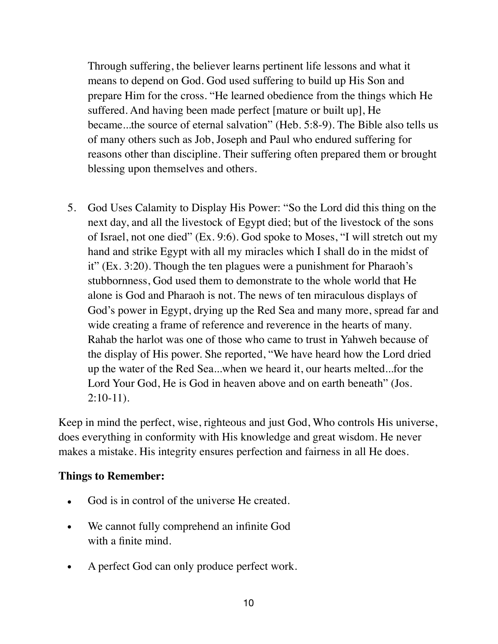Through suffering, the believer learns pertinent life lessons and what it means to depend on God. God used suffering to build up His Son and prepare Him for the cross. "He learned obedience from the things which He suffered. And having been made perfect [mature or built up], He became...the source of eternal salvation" (Heb. 5:8-9). The Bible also tells us of many others such as Job, Joseph and Paul who endured suffering for reasons other than discipline. Their suffering often prepared them or brought blessing upon themselves and others.

5. God Uses Calamity to Display His Power: "So the Lord did this thing on the next day, and all the livestock of Egypt died; but of the livestock of the sons of Israel, not one died" (Ex. 9:6). God spoke to Moses, "I will stretch out my hand and strike Egypt with all my miracles which I shall do in the midst of it" (Ex. 3:20). Though the ten plagues were a punishment for Pharaoh's stubbornness, God used them to demonstrate to the whole world that He alone is God and Pharaoh is not. The news of ten miraculous displays of God's power in Egypt, drying up the Red Sea and many more, spread far and wide creating a frame of reference and reverence in the hearts of many. Rahab the harlot was one of those who came to trust in Yahweh because of the display of His power. She reported, "We have heard how the Lord dried up the water of the Red Sea...when we heard it, our hearts melted...for the Lord Your God, He is God in heaven above and on earth beneath" (Jos. 2:10-11).

Keep in mind the perfect, wise, righteous and just God, Who controls His universe, does everything in conformity with His knowledge and great wisdom. He never makes a mistake. His integrity ensures perfection and fairness in all He does.

#### **Things to Remember:**

- God is in control of the universe He created.
- We cannot fully comprehend an infinite God with a finite mind.
- A perfect God can only produce perfect work.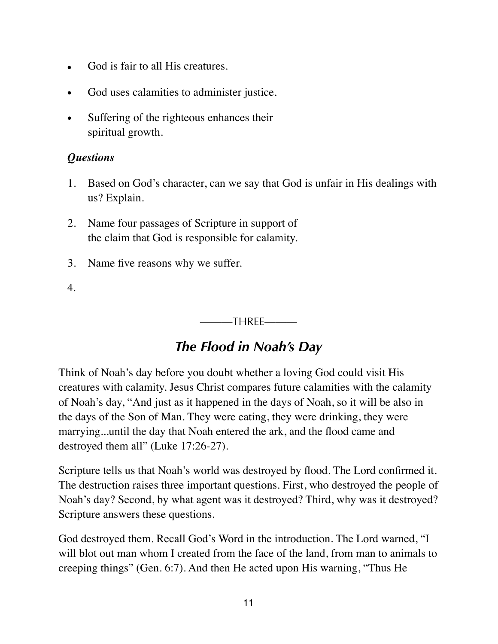- God is fair to all His creatures.
- God uses calamities to administer justice.
- Suffering of the righteous enhances their spiritual growth.

#### *Questions*

- 1. Based on God's character, can we say that God is unfair in His dealings with us? Explain.
- 2. Name four passages of Scripture in support of the claim that God is responsible for calamity.
- 3. Name five reasons why we suffer.
- 4.

———THREE———

# *The Flood in Noah's Day*

Think of Noah's day before you doubt whether a loving God could visit His creatures with calamity. Jesus Christ compares future calamities with the calamity of Noah's day, "And just as it happened in the days of Noah, so it will be also in the days of the Son of Man. They were eating, they were drinking, they were marrying...until the day that Noah entered the ark, and the flood came and destroyed them all" (Luke 17:26-27).

Scripture tells us that Noah's world was destroyed by flood. The Lord confirmed it. The destruction raises three important questions. First, who destroyed the people of Noah's day? Second, by what agent was it destroyed? Third, why was it destroyed? Scripture answers these questions.

God destroyed them. Recall God's Word in the introduction. The Lord warned, "I will blot out man whom I created from the face of the land, from man to animals to creeping things" (Gen. 6:7). And then He acted upon His warning, "Thus He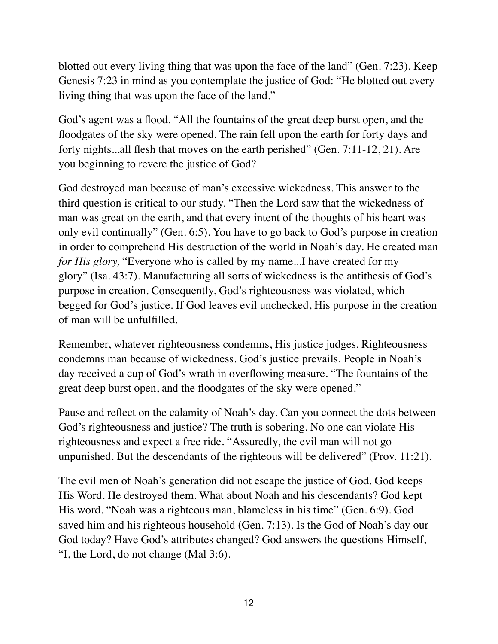blotted out every living thing that was upon the face of the land" (Gen. 7:23). Keep Genesis 7:23 in mind as you contemplate the justice of God: "He blotted out every living thing that was upon the face of the land."

God's agent was a flood. "All the fountains of the great deep burst open, and the floodgates of the sky were opened. The rain fell upon the earth for forty days and forty nights...all flesh that moves on the earth perished" (Gen. 7:11-12, 21). Are you beginning to revere the justice of God?

God destroyed man because of man's excessive wickedness. This answer to the third question is critical to our study. "Then the Lord saw that the wickedness of man was great on the earth, and that every intent of the thoughts of his heart was only evil continually" (Gen. 6:5). You have to go back to God's purpose in creation in order to comprehend His destruction of the world in Noah's day. He created man *for His glory,* "Everyone who is called by my name...I have created for my glory" (Isa. 43:7). Manufacturing all sorts of wickedness is the antithesis of God's purpose in creation. Consequently, God's righteousness was violated, which begged for God's justice. If God leaves evil unchecked, His purpose in the creation of man will be unfulfilled.

Remember, whatever righteousness condemns, His justice judges. Righteousness condemns man because of wickedness. God's justice prevails. People in Noah's day received a cup of God's wrath in overflowing measure. "The fountains of the great deep burst open, and the floodgates of the sky were opened."

Pause and reflect on the calamity of Noah's day. Can you connect the dots between God's righteousness and justice? The truth is sobering. No one can violate His righteousness and expect a free ride. "Assuredly, the evil man will not go unpunished. But the descendants of the righteous will be delivered" (Prov. 11:21).

The evil men of Noah's generation did not escape the justice of God. God keeps His Word. He destroyed them. What about Noah and his descendants? God kept His word. "Noah was a righteous man, blameless in his time" (Gen. 6:9). God saved him and his righteous household (Gen. 7:13). Is the God of Noah's day our God today? Have God's attributes changed? God answers the questions Himself, "I, the Lord, do not change (Mal 3:6).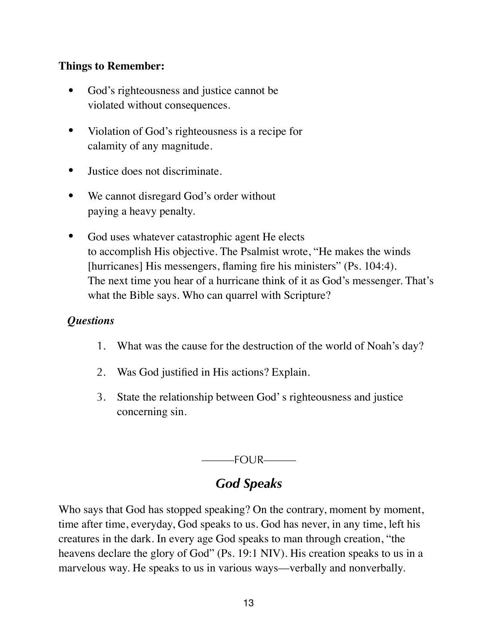#### **Things to Remember:**

- God's righteousness and justice cannot be violated without consequences.
- Violation of God's righteousness is a recipe for calamity of any magnitude.
- Justice does not discriminate.
- We cannot disregard God's order without paying a heavy penalty.
- God uses whatever catastrophic agent He elects to accomplish His objective. The Psalmist wrote, "He makes the winds [hurricanes] His messengers, flaming fire his ministers" (Ps. 104:4). The next time you hear of a hurricane think of it as God's messenger. That's what the Bible says. Who can quarrel with Scripture?

### *Questions*

- 1. What was the cause for the destruction of the world of Noah's day?
- 2. Was God justified in His actions? Explain.
- 3. State the relationship between God' s righteousness and justice concerning sin.

 $-$ FOUR———

# *God Speaks*

Who says that God has stopped speaking? On the contrary, moment by moment, time after time, everyday, God speaks to us. God has never, in any time, left his creatures in the dark. In every age God speaks to man through creation, "the heavens declare the glory of God" (Ps. 19:1 NIV). His creation speaks to us in a marvelous way. He speaks to us in various ways—verbally and nonverbally.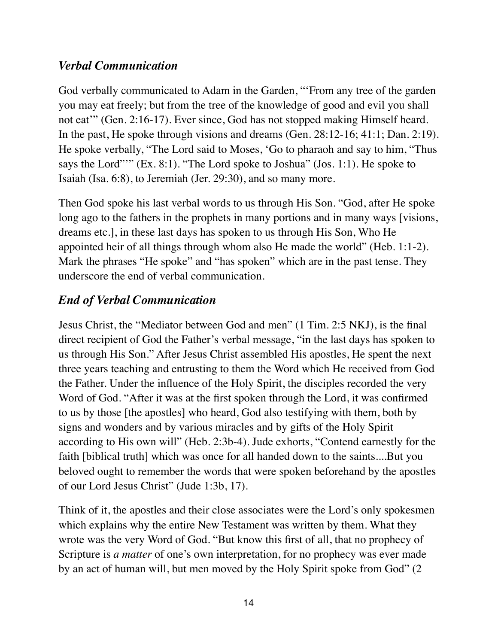# *Verbal Communication*

God verbally communicated to Adam in the Garden, "'From any tree of the garden you may eat freely; but from the tree of the knowledge of good and evil you shall not eat'" (Gen. 2:16-17). Ever since, God has not stopped making Himself heard. In the past, He spoke through visions and dreams (Gen. 28:12-16; 41:1; Dan. 2:19). He spoke verbally, "The Lord said to Moses, 'Go to pharaoh and say to him, "Thus says the Lord""" (Ex. 8:1). "The Lord spoke to Joshua" (Jos. 1:1). He spoke to Isaiah (Isa. 6:8), to Jeremiah (Jer. 29:30), and so many more.

Then God spoke his last verbal words to us through His Son. "God, after He spoke long ago to the fathers in the prophets in many portions and in many ways [visions, dreams etc.], in these last days has spoken to us through His Son, Who He appointed heir of all things through whom also He made the world" (Heb. 1:1-2). Mark the phrases "He spoke" and "has spoken" which are in the past tense. They underscore the end of verbal communication.

# *End of Verbal Communication*

Jesus Christ, the "Mediator between God and men" (1 Tim. 2:5 NKJ), is the final direct recipient of God the Father's verbal message, "in the last days has spoken to us through His Son." After Jesus Christ assembled His apostles, He spent the next three years teaching and entrusting to them the Word which He received from God the Father. Under the influence of the Holy Spirit, the disciples recorded the very Word of God. "After it was at the first spoken through the Lord, it was confirmed to us by those [the apostles] who heard, God also testifying with them, both by signs and wonders and by various miracles and by gifts of the Holy Spirit according to His own will" (Heb. 2:3b-4). Jude exhorts, "Contend earnestly for the faith [biblical truth] which was once for all handed down to the saints....But you beloved ought to remember the words that were spoken beforehand by the apostles of our Lord Jesus Christ" (Jude 1:3b, 17).

Think of it, the apostles and their close associates were the Lord's only spokesmen which explains why the entire New Testament was written by them. What they wrote was the very Word of God. "But know this first of all, that no prophecy of Scripture is *a matter* of one's own interpretation, for no prophecy was ever made by an act of human will, but men moved by the Holy Spirit spoke from God" (2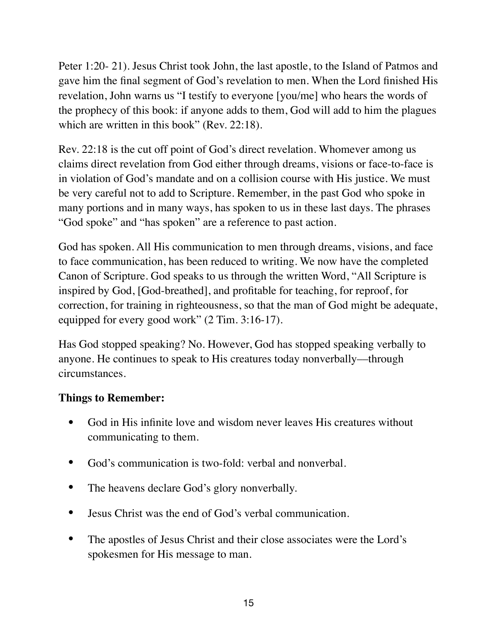Peter 1:20- 21). Jesus Christ took John, the last apostle, to the Island of Patmos and gave him the final segment of God's revelation to men. When the Lord finished His revelation, John warns us "I testify to everyone [you/me] who hears the words of the prophecy of this book: if anyone adds to them, God will add to him the plagues which are written in this book" (Rev. 22:18).

Rev. 22:18 is the cut off point of God's direct revelation. Whomever among us claims direct revelation from God either through dreams, visions or face-to-face is in violation of God's mandate and on a collision course with His justice. We must be very careful not to add to Scripture. Remember, in the past God who spoke in many portions and in many ways, has spoken to us in these last days. The phrases "God spoke" and "has spoken" are a reference to past action.

God has spoken. All His communication to men through dreams, visions, and face to face communication, has been reduced to writing. We now have the completed Canon of Scripture. God speaks to us through the written Word, "All Scripture is inspired by God, [God-breathed], and profitable for teaching, for reproof, for correction, for training in righteousness, so that the man of God might be adequate, equipped for every good work" (2 Tim. 3:16-17).

Has God stopped speaking? No. However, God has stopped speaking verbally to anyone. He continues to speak to His creatures today nonverbally––through circumstances.

#### **Things to Remember:**

- God in His infinite love and wisdom never leaves His creatures without communicating to them.
- God's communication is two-fold: verbal and nonverbal.
- The heavens declare God's glory nonverbally.
- Jesus Christ was the end of God's verbal communication.
- The apostles of Jesus Christ and their close associates were the Lord's spokesmen for His message to man.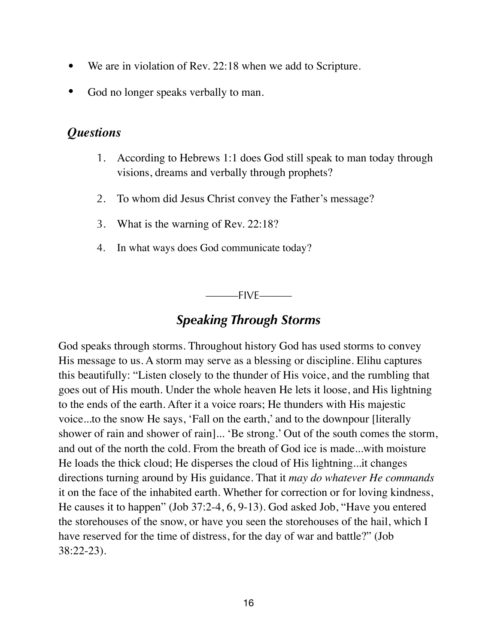- We are in violation of Rev. 22:18 when we add to Scripture.
- God no longer speaks verbally to man.

### *Questions*

- 1. According to Hebrews 1:1 does God still speak to man today through visions, dreams and verbally through prophets?
- 2. To whom did Jesus Christ convey the Father's message?
- 3. What is the warning of Rev. 22:18?
- 4. In what ways does God communicate today?

———FIVE———

# *Speaking Through Storms*

God speaks through storms. Throughout history God has used storms to convey His message to us. A storm may serve as a blessing or discipline. Elihu captures this beautifully: "Listen closely to the thunder of His voice, and the rumbling that goes out of His mouth. Under the whole heaven He lets it loose, and His lightning to the ends of the earth. After it a voice roars; He thunders with His majestic voice...to the snow He says, 'Fall on the earth,' and to the downpour [literally shower of rain and shower of rain]... 'Be strong.' Out of the south comes the storm, and out of the north the cold. From the breath of God ice is made...with moisture He loads the thick cloud; He disperses the cloud of His lightning...it changes directions turning around by His guidance. That it *may do whatever He commands*  it on the face of the inhabited earth. Whether for correction or for loving kindness, He causes it to happen" (Job 37:2-4, 6, 9-13). God asked Job, "Have you entered the storehouses of the snow, or have you seen the storehouses of the hail, which I have reserved for the time of distress, for the day of war and battle?" (Job 38:22-23).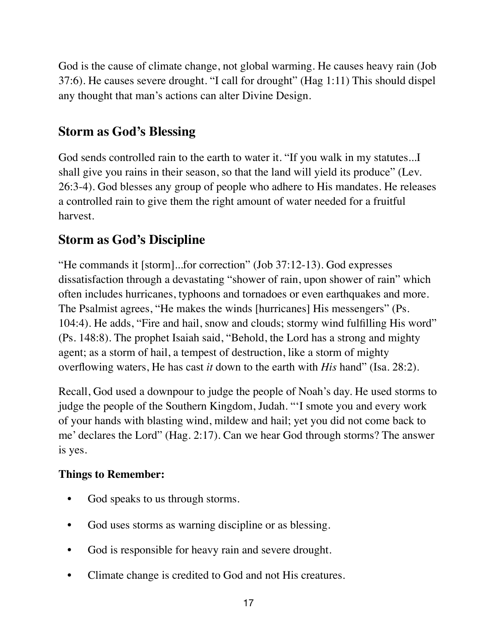God is the cause of climate change, not global warming. He causes heavy rain (Job 37:6). He causes severe drought. "I call for drought" (Hag 1:11) This should dispel any thought that man's actions can alter Divine Design.

# **Storm as God's Blessing**

God sends controlled rain to the earth to water it. "If you walk in my statutes...I shall give you rains in their season, so that the land will yield its produce" (Lev. 26:3-4). God blesses any group of people who adhere to His mandates. He releases a controlled rain to give them the right amount of water needed for a fruitful harvest.

# **Storm as God's Discipline**

"He commands it [storm]...for correction" (Job 37:12-13). God expresses dissatisfaction through a devastating "shower of rain, upon shower of rain" which often includes hurricanes, typhoons and tornadoes or even earthquakes and more. The Psalmist agrees, "He makes the winds [hurricanes] His messengers" (Ps. 104:4). He adds, "Fire and hail, snow and clouds; stormy wind fulfilling His word" (Ps. 148:8). The prophet Isaiah said, "Behold, the Lord has a strong and mighty agent; as a storm of hail, a tempest of destruction, like a storm of mighty overflowing waters, He has cast *it* down to the earth with *His* hand" (Isa. 28:2).

Recall, God used a downpour to judge the people of Noah's day. He used storms to judge the people of the Southern Kingdom, Judah. "'I smote you and every work of your hands with blasting wind, mildew and hail; yet you did not come back to me' declares the Lord" (Hag. 2:17). Can we hear God through storms? The answer is yes.

# **Things to Remember:**

- God speaks to us through storms.
- God uses storms as warning discipline or as blessing.
- God is responsible for heavy rain and severe drought.
- Climate change is credited to God and not His creatures.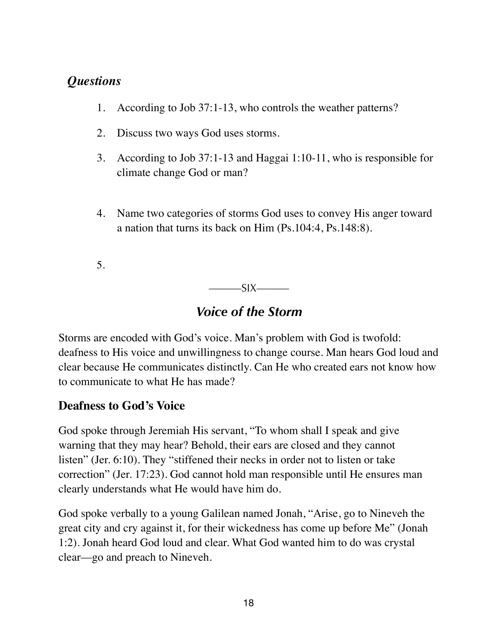# *Questions*

- 1. According to Job 37:1-13, who controls the weather patterns?
- 2. Discuss two ways God uses storms.
- 3. According to Job 37:1-13 and Haggai 1:10-11, who is responsible for climate change God or man?
- 4. Name two categories of storms God uses to convey His anger toward a nation that turns its back on Him (Ps.104:4, Ps.148:8).

5.

 $SIX$ 

# *Voice of the Storm*

Storms are encoded with God's voice. Man's problem with God is twofold: deafness to His voice and unwillingness to change course. Man hears God loud and clear because He communicates distinctly. Can He who created ears not know how to communicate to what He has made?

# **Deafness to God's Voice**

God spoke through Jeremiah His servant, "To whom shall I speak and give warning that they may hear? Behold, their ears are closed and they cannot listen" (Jer. 6:10). They "stiffened their necks in order not to listen or take correction" (Jer. 17:23). God cannot hold man responsible until He ensures man clearly understands what He would have him do.

God spoke verbally to a young Galilean named Jonah, "Arise, go to Nineveh the great city and cry against it, for their wickedness has come up before Me" (Jonah 1:2). Jonah heard God loud and clear. What God wanted him to do was crystal clear––go and preach to Nineveh.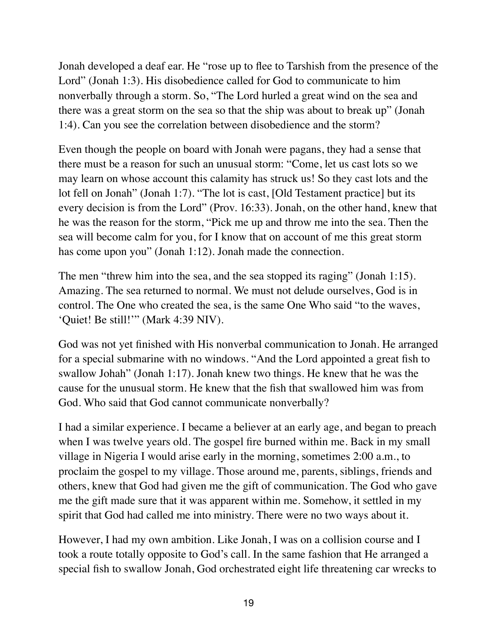Jonah developed a deaf ear. He "rose up to flee to Tarshish from the presence of the Lord" (Jonah 1:3). His disobedience called for God to communicate to him nonverbally through a storm. So, "The Lord hurled a great wind on the sea and there was a great storm on the sea so that the ship was about to break up" (Jonah 1:4). Can you see the correlation between disobedience and the storm?

Even though the people on board with Jonah were pagans, they had a sense that there must be a reason for such an unusual storm: "Come, let us cast lots so we may learn on whose account this calamity has struck us! So they cast lots and the lot fell on Jonah" (Jonah 1:7). "The lot is cast, [Old Testament practice] but its every decision is from the Lord" (Prov. 16:33). Jonah, on the other hand, knew that he was the reason for the storm, "Pick me up and throw me into the sea. Then the sea will become calm for you, for I know that on account of me this great storm has come upon you" (Jonah 1:12). Jonah made the connection.

The men "threw him into the sea, and the sea stopped its raging" (Jonah 1:15). Amazing. The sea returned to normal. We must not delude ourselves, God is in control. The One who created the sea, is the same One Who said "to the waves, 'Quiet! Be still!'" (Mark 4:39 NIV).

God was not yet finished with His nonverbal communication to Jonah. He arranged for a special submarine with no windows. "And the Lord appointed a great fish to swallow Johah" (Jonah 1:17). Jonah knew two things. He knew that he was the cause for the unusual storm. He knew that the fish that swallowed him was from God. Who said that God cannot communicate nonverbally?

I had a similar experience. I became a believer at an early age, and began to preach when I was twelve years old. The gospel fire burned within me. Back in my small village in Nigeria I would arise early in the morning, sometimes 2:00 a.m., to proclaim the gospel to my village. Those around me, parents, siblings, friends and others, knew that God had given me the gift of communication. The God who gave me the gift made sure that it was apparent within me. Somehow, it settled in my spirit that God had called me into ministry. There were no two ways about it.

However, I had my own ambition. Like Jonah, I was on a collision course and I took a route totally opposite to God's call. In the same fashion that He arranged a special fish to swallow Jonah, God orchestrated eight life threatening car wrecks to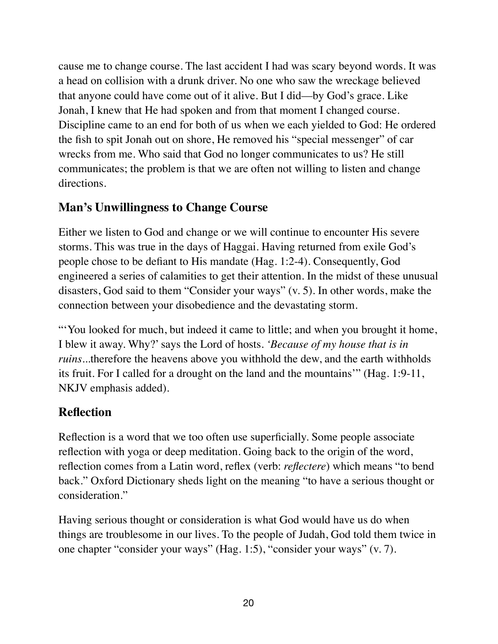cause me to change course. The last accident I had was scary beyond words. It was a head on collision with a drunk driver. No one who saw the wreckage believed that anyone could have come out of it alive. But I did––by God's grace. Like Jonah, I knew that He had spoken and from that moment I changed course. Discipline came to an end for both of us when we each yielded to God: He ordered the fish to spit Jonah out on shore, He removed his "special messenger" of car wrecks from me. Who said that God no longer communicates to us? He still communicates; the problem is that we are often not willing to listen and change directions.

#### **Man's Unwillingness to Change Course**

Either we listen to God and change or we will continue to encounter His severe storms. This was true in the days of Haggai. Having returned from exile God's people chose to be defiant to His mandate (Hag. 1:2-4). Consequently, God engineered a series of calamities to get their attention. In the midst of these unusual disasters, God said to them "Consider your ways" (v. 5). In other words, make the connection between your disobedience and the devastating storm.

"'You looked for much, but indeed it came to little; and when you brought it home, I blew it away. Why?' says the Lord of hosts. *'Because of my house that is in ruins*...therefore the heavens above you withhold the dew, and the earth withholds its fruit. For I called for a drought on the land and the mountains'" (Hag. 1:9-11, NKJV emphasis added).

### **Reflection**

Reflection is a word that we too often use superficially. Some people associate reflection with yoga or deep meditation. Going back to the origin of the word, reflection comes from a Latin word, reflex (verb: *reflectere*) which means "to bend back." Oxford Dictionary sheds light on the meaning "to have a serious thought or consideration."

Having serious thought or consideration is what God would have us do when things are troublesome in our lives. To the people of Judah, God told them twice in one chapter "consider your ways" (Hag. 1:5), "consider your ways" (v. 7).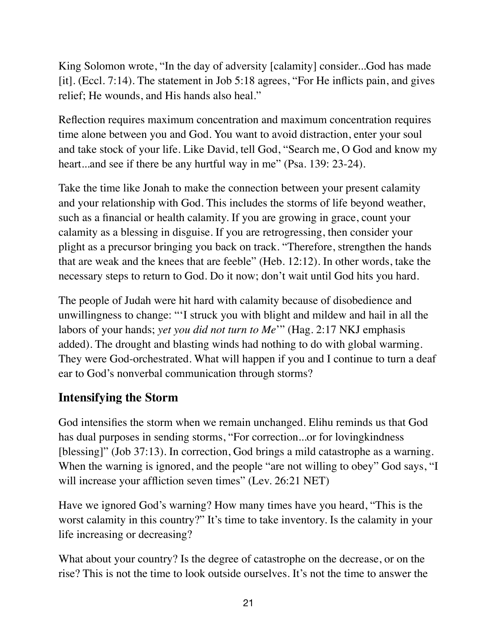King Solomon wrote, "In the day of adversity [calamity] consider...God has made [it]. (Eccl. 7:14). The statement in Job 5:18 agrees, "For He inflicts pain, and gives relief; He wounds, and His hands also heal."

Reflection requires maximum concentration and maximum concentration requires time alone between you and God. You want to avoid distraction, enter your soul and take stock of your life. Like David, tell God, "Search me, O God and know my heart...and see if there be any hurtful way in me" (Psa. 139: 23-24).

Take the time like Jonah to make the connection between your present calamity and your relationship with God. This includes the storms of life beyond weather, such as a financial or health calamity. If you are growing in grace, count your calamity as a blessing in disguise. If you are retrogressing, then consider your plight as a precursor bringing you back on track. "Therefore, strengthen the hands that are weak and the knees that are feeble" (Heb. 12:12). In other words, take the necessary steps to return to God. Do it now; don't wait until God hits you hard.

The people of Judah were hit hard with calamity because of disobedience and unwillingness to change: "'I struck you with blight and mildew and hail in all the labors of your hands; *yet you did not turn to Me*'" (Hag. 2:17 NKJ emphasis added). The drought and blasting winds had nothing to do with global warming. They were God-orchestrated. What will happen if you and I continue to turn a deaf ear to God's nonverbal communication through storms?

# **Intensifying the Storm**

God intensifies the storm when we remain unchanged. Elihu reminds us that God has dual purposes in sending storms, "For correction...or for lovingkindness [blessing]" (Job 37:13). In correction, God brings a mild catastrophe as a warning. When the warning is ignored, and the people "are not willing to obey" God says, "I will increase your affliction seven times" (Lev. 26:21 NET)

Have we ignored God's warning? How many times have you heard, "This is the worst calamity in this country?" It's time to take inventory. Is the calamity in your life increasing or decreasing?

What about your country? Is the degree of catastrophe on the decrease, or on the rise? This is not the time to look outside ourselves. It's not the time to answer the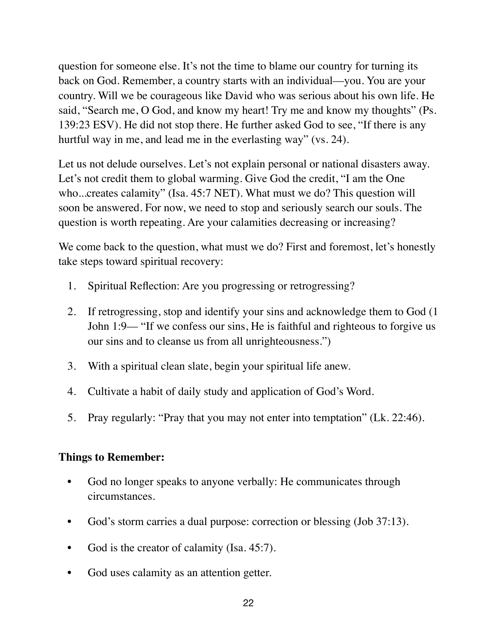question for someone else. It's not the time to blame our country for turning its back on God. Remember, a country starts with an individual—you. You are your country. Will we be courageous like David who was serious about his own life. He said, "Search me, O God, and know my heart! Try me and know my thoughts" (Ps. 139:23 ESV). He did not stop there. He further asked God to see, "If there is any hurtful way in me, and lead me in the everlasting way" (vs. 24).

Let us not delude ourselves. Let's not explain personal or national disasters away. Let's not credit them to global warming. Give God the credit, "I am the One who...creates calamity" (Isa. 45:7 NET). What must we do? This question will soon be answered. For now, we need to stop and seriously search our souls. The question is worth repeating. Are your calamities decreasing or increasing?

We come back to the question, what must we do? First and foremost, let's honestly take steps toward spiritual recovery:

- 1. Spiritual Reflection: Are you progressing or retrogressing?
- 2. If retrogressing, stop and identify your sins and acknowledge them to God (1 John 1:9–– "If we confess our sins, He is faithful and righteous to forgive us our sins and to cleanse us from all unrighteousness.")
- 3. With a spiritual clean slate, begin your spiritual life anew.
- 4. Cultivate a habit of daily study and application of God's Word.
- 5. Pray regularly: "Pray that you may not enter into temptation" (Lk. 22:46).

#### **Things to Remember:**

- God no longer speaks to anyone verbally: He communicates through circumstances.
- God's storm carries a dual purpose: correction or blessing (Job 37:13).
- God is the creator of calamity (Isa. 45:7).
- God uses calamity as an attention getter.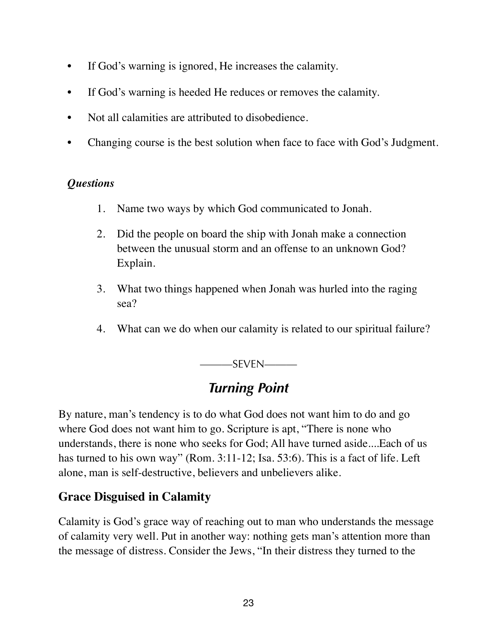- If God's warning is ignored, He increases the calamity.
- If God's warning is heeded He reduces or removes the calamity.
- Not all calamities are attributed to disobedience.
- Changing course is the best solution when face to face with God's Judgment.

#### *Questions*

- 1. Name two ways by which God communicated to Jonah.
- 2. Did the people on board the ship with Jonah make a connection between the unusual storm and an offense to an unknown God? Explain.
- 3. What two things happened when Jonah was hurled into the raging sea?
- 4. What can we do when our calamity is related to our spiritual failure?

———SEVEN———

# *Turning Point*

By nature, man's tendency is to do what God does not want him to do and go where God does not want him to go. Scripture is apt, "There is none who understands, there is none who seeks for God; All have turned aside....Each of us has turned to his own way" (Rom. 3:11-12; Isa. 53:6). This is a fact of life. Left alone, man is self-destructive, believers and unbelievers alike.

#### **Grace Disguised in Calamity**

Calamity is God's grace way of reaching out to man who understands the message of calamity very well. Put in another way: nothing gets man's attention more than the message of distress. Consider the Jews, "In their distress they turned to the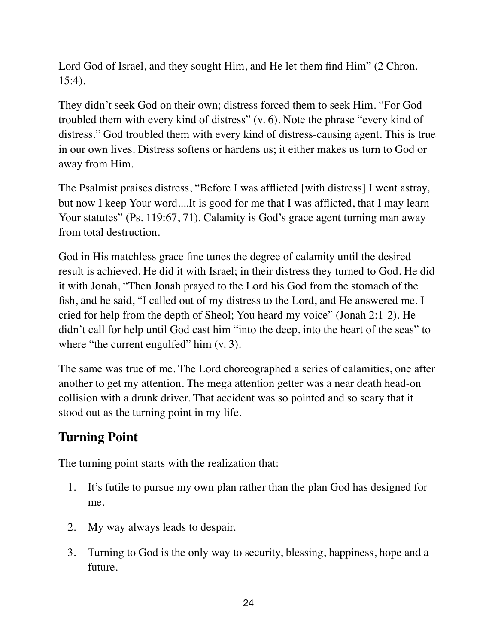Lord God of Israel, and they sought Him, and He let them find Him" (2 Chron. 15:4).

They didn't seek God on their own; distress forced them to seek Him. "For God troubled them with every kind of distress" (v. 6). Note the phrase "every kind of distress." God troubled them with every kind of distress-causing agent. This is true in our own lives. Distress softens or hardens us; it either makes us turn to God or away from Him.

The Psalmist praises distress, "Before I was afflicted [with distress] I went astray, but now I keep Your word....It is good for me that I was afflicted, that I may learn Your statutes" (Ps. 119:67, 71). Calamity is God's grace agent turning man away from total destruction.

God in His matchless grace fine tunes the degree of calamity until the desired result is achieved. He did it with Israel; in their distress they turned to God. He did it with Jonah, "Then Jonah prayed to the Lord his God from the stomach of the fish, and he said, "I called out of my distress to the Lord, and He answered me. I cried for help from the depth of Sheol; You heard my voice" (Jonah 2:1-2). He didn't call for help until God cast him "into the deep, into the heart of the seas" to where "the current engulfed" him  $(v, 3)$ .

The same was true of me. The Lord choreographed a series of calamities, one after another to get my attention. The mega attention getter was a near death head-on collision with a drunk driver. That accident was so pointed and so scary that it stood out as the turning point in my life.

# **Turning Point**

The turning point starts with the realization that:

- 1. It's futile to pursue my own plan rather than the plan God has designed for me.
- 2. My way always leads to despair.
- 3. Turning to God is the only way to security, blessing, happiness, hope and a future.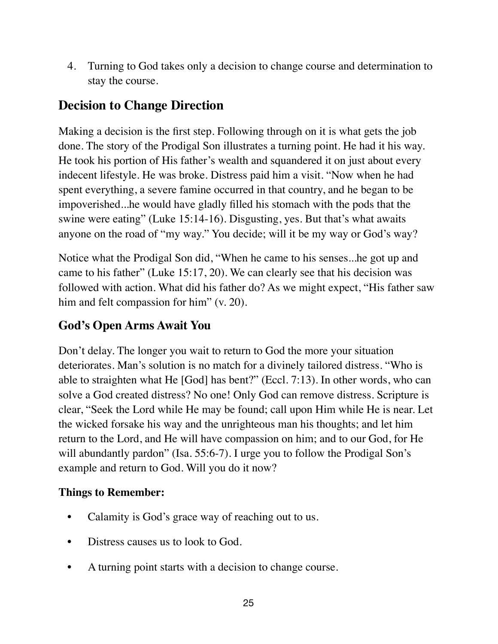4. Turning to God takes only a decision to change course and determination to stay the course.

# **Decision to Change Direction**

Making a decision is the first step. Following through on it is what gets the job done. The story of the Prodigal Son illustrates a turning point. He had it his way. He took his portion of His father's wealth and squandered it on just about every indecent lifestyle. He was broke. Distress paid him a visit. "Now when he had spent everything, a severe famine occurred in that country, and he began to be impoverished...he would have gladly filled his stomach with the pods that the swine were eating" (Luke 15:14-16). Disgusting, yes. But that's what awaits anyone on the road of "my way." You decide; will it be my way or God's way?

Notice what the Prodigal Son did, "When he came to his senses...he got up and came to his father" (Luke 15:17, 20). We can clearly see that his decision was followed with action. What did his father do? As we might expect, "His father saw him and felt compassion for him" (v. 20).

# **God's Open Arms Await You**

Don't delay. The longer you wait to return to God the more your situation deteriorates. Man's solution is no match for a divinely tailored distress. "Who is able to straighten what He [God] has bent?" (Eccl. 7:13). In other words, who can solve a God created distress? No one! Only God can remove distress. Scripture is clear, "Seek the Lord while He may be found; call upon Him while He is near. Let the wicked forsake his way and the unrighteous man his thoughts; and let him return to the Lord, and He will have compassion on him; and to our God, for He will abundantly pardon" (Isa. 55:6-7). I urge you to follow the Prodigal Son's example and return to God. Will you do it now?

#### **Things to Remember:**

- Calamity is God's grace way of reaching out to us.
- Distress causes us to look to God.
- A turning point starts with a decision to change course.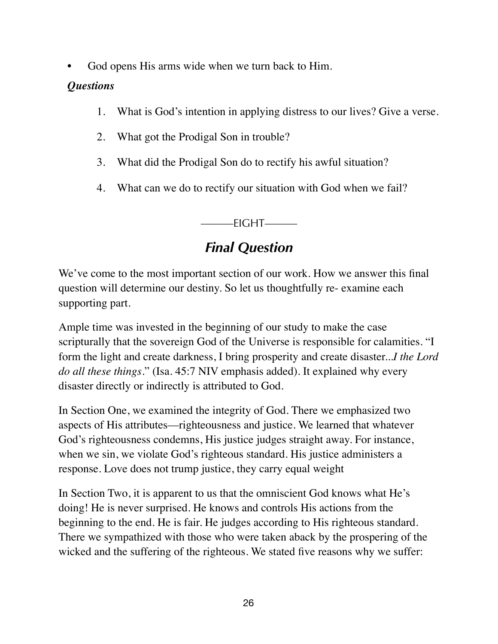God opens His arms wide when we turn back to Him.

#### *Questions*

- 1. What is God's intention in applying distress to our lives? Give a verse.
- 2. What got the Prodigal Son in trouble?
- 3. What did the Prodigal Son do to rectify his awful situation?
- 4. What can we do to rectify our situation with God when we fail?

———EIGHT———

# *Final Question*

We've come to the most important section of our work. How we answer this final question will determine our destiny. So let us thoughtfully re- examine each supporting part.

Ample time was invested in the beginning of our study to make the case scripturally that the sovereign God of the Universe is responsible for calamities. "I form the light and create darkness, I bring prosperity and create disaster...*I the Lord do all these things.*" (Isa. 45:7 NIV emphasis added). It explained why every disaster directly or indirectly is attributed to God.

In Section One, we examined the integrity of God. There we emphasized two aspects of His attributes––righteousness and justice. We learned that whatever God's righteousness condemns, His justice judges straight away. For instance, when we sin, we violate God's righteous standard. His justice administers a response. Love does not trump justice, they carry equal weight

In Section Two, it is apparent to us that the omniscient God knows what He's doing! He is never surprised. He knows and controls His actions from the beginning to the end. He is fair. He judges according to His righteous standard. There we sympathized with those who were taken aback by the prospering of the wicked and the suffering of the righteous. We stated five reasons why we suffer: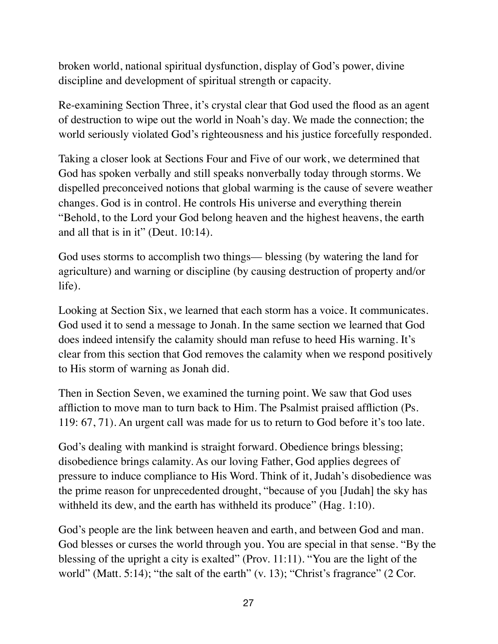broken world, national spiritual dysfunction, display of God's power, divine discipline and development of spiritual strength or capacity.

Re-examining Section Three, it's crystal clear that God used the flood as an agent of destruction to wipe out the world in Noah's day. We made the connection; the world seriously violated God's righteousness and his justice forcefully responded.

Taking a closer look at Sections Four and Five of our work, we determined that God has spoken verbally and still speaks nonverbally today through storms. We dispelled preconceived notions that global warming is the cause of severe weather changes. God is in control. He controls His universe and everything therein "Behold, to the Lord your God belong heaven and the highest heavens, the earth and all that is in it" (Deut. 10:14).

God uses storms to accomplish two things–– blessing (by watering the land for agriculture) and warning or discipline (by causing destruction of property and/or life).

Looking at Section Six, we learned that each storm has a voice. It communicates. God used it to send a message to Jonah. In the same section we learned that God does indeed intensify the calamity should man refuse to heed His warning. It's clear from this section that God removes the calamity when we respond positively to His storm of warning as Jonah did.

Then in Section Seven, we examined the turning point. We saw that God uses affliction to move man to turn back to Him. The Psalmist praised affliction (Ps. 119: 67, 71). An urgent call was made for us to return to God before it's too late.

God's dealing with mankind is straight forward. Obedience brings blessing; disobedience brings calamity. As our loving Father, God applies degrees of pressure to induce compliance to His Word. Think of it, Judah's disobedience was the prime reason for unprecedented drought, "because of you [Judah] the sky has withheld its dew, and the earth has withheld its produce" (Hag. 1:10).

God's people are the link between heaven and earth, and between God and man. God blesses or curses the world through you. You are special in that sense. "By the blessing of the upright a city is exalted" (Prov. 11:11). "You are the light of the world" (Matt. 5:14); "the salt of the earth" (v. 13); "Christ's fragrance" (2 Cor.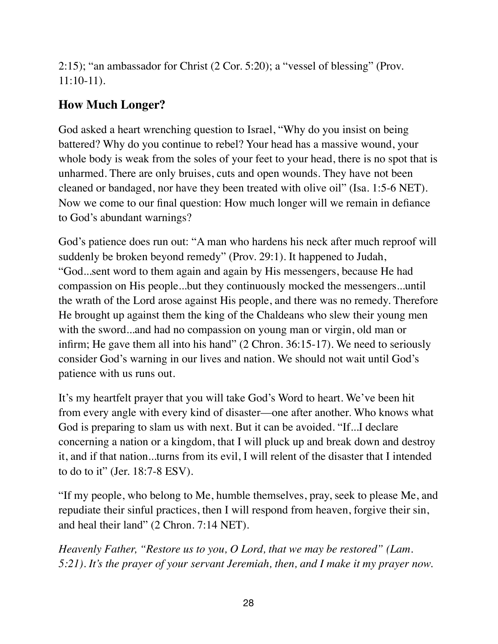2:15); "an ambassador for Christ (2 Cor. 5:20); a "vessel of blessing" (Prov. 11:10-11).

# **How Much Longer?**

God asked a heart wrenching question to Israel, "Why do you insist on being battered? Why do you continue to rebel? Your head has a massive wound, your whole body is weak from the soles of your feet to your head, there is no spot that is unharmed. There are only bruises, cuts and open wounds. They have not been cleaned or bandaged, nor have they been treated with olive oil" (Isa. 1:5-6 NET). Now we come to our final question: How much longer will we remain in defiance to God's abundant warnings?

God's patience does run out: "A man who hardens his neck after much reproof will suddenly be broken beyond remedy" (Prov. 29:1). It happened to Judah, "God...sent word to them again and again by His messengers, because He had compassion on His people...but they continuously mocked the messengers...until the wrath of the Lord arose against His people, and there was no remedy. Therefore He brought up against them the king of the Chaldeans who slew their young men with the sword...and had no compassion on young man or virgin, old man or infirm; He gave them all into his hand" (2 Chron. 36:15-17). We need to seriously consider God's warning in our lives and nation. We should not wait until God's patience with us runs out.

It's my heartfelt prayer that you will take God's Word to heart. We've been hit from every angle with every kind of disaster—one after another. Who knows what God is preparing to slam us with next. But it can be avoided. "If...I declare concerning a nation or a kingdom, that I will pluck up and break down and destroy it, and if that nation...turns from its evil, I will relent of the disaster that I intended to do to it" (Jer. 18:7-8 ESV).

"If my people, who belong to Me, humble themselves, pray, seek to please Me, and repudiate their sinful practices, then I will respond from heaven, forgive their sin, and heal their land" (2 Chron. 7:14 NET).

*Heavenly Father, "Restore us to you, O Lord, that we may be restored" (Lam. 5:21). It's the prayer of your servant Jeremiah, then, and I make it my prayer now.*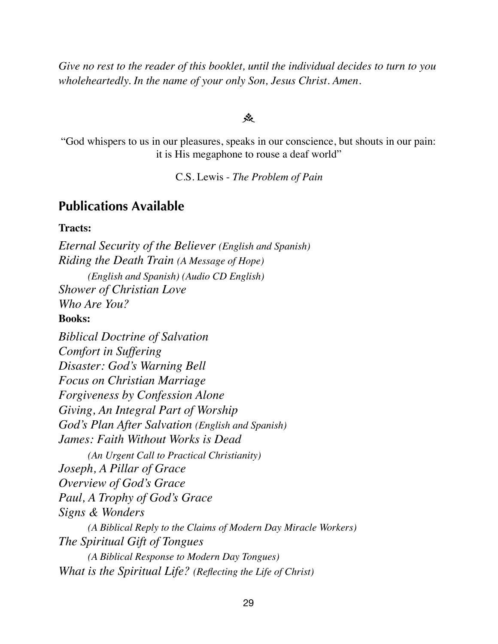*Give no rest to the reader of this booklet, until the individual decides to turn to you wholeheartedly. In the name of your only Son, Jesus Christ. Amen.*

#### جثر

"God whispers to us in our pleasures, speaks in our conscience, but shouts in our pain: it is His megaphone to rouse a deaf world"

C.S. Lewis - *The Problem of Pain* 

#### **Publications Available**

#### **Tracts:**

*Eternal Security of the Believer (English and Spanish) Riding the Death Train (A Message of Hope) (English and Spanish) (Audio CD English) Shower of Christian Love Who Are You?* **Books:**  *Biblical Doctrine of Salvation Comfort in Suffering Disaster: God's Warning Bell Focus on Christian Marriage Forgiveness by Confession Alone Giving, An Integral Part of Worship God's Plan After Salvation (English and Spanish) James: Faith Without Works is Dead (An Urgent Call to Practical Christianity) Joseph, A Pillar of Grace Overview of God's Grace Paul, A Trophy of God's Grace Signs & Wonders*

*(A Biblical Reply to the Claims of Modern Day Miracle Workers) The Spiritual Gift of Tongues (A Biblical Response to Modern Day Tongues) What is the Spiritual Life? (Reflecting the Life of Christ)*